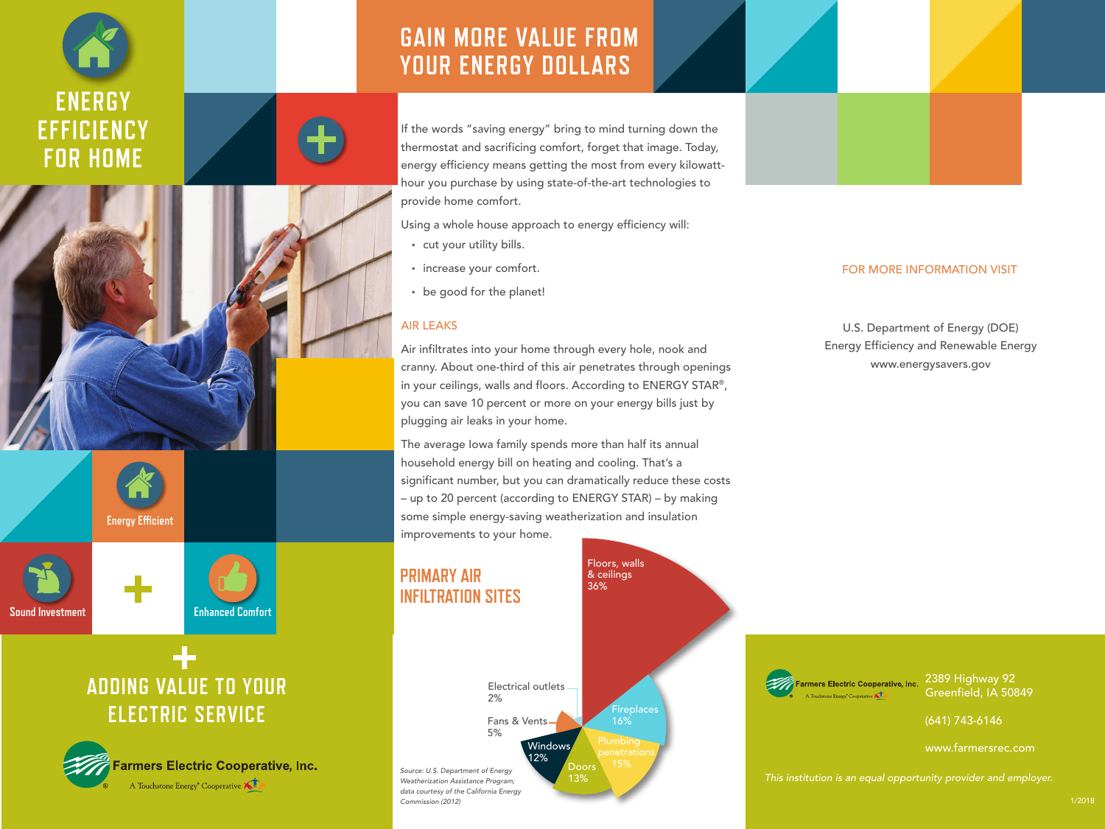





If the words "saving energy" bring to mind turning down the thermostat and sacrificing comfort, forget that image. Today, energy efficiency means getting the most from every kilowatthour you purchase by using state-of-the-art technologies to provide home comfort.

Using a whole house approach to energy efficiency will:

- cut your utility bills.
- increase your comfort.
- be good for the planet!

## AIR LEAKS

Commission (2012)

Air infiltrates into your home through every hole, nook and cranny. About one-third of this air penetrates through openings in your ceilings, walls and floors. According to ENERGY STAR®, you can save 10 percent or more on your energy bills just by plugging air leaks in your home.

The average Iowa family spends more than half its annual household energy bill on heating and cooling. That's a significant number, but you can dramatically reduce these costs – up to 20 percent (according to ENERGY STAR) – by making some simple energy-saving weatherization and insulation improvements to your home.

#### Floors, walls **PRIMARY AIR** & ceilings 36% **INFILTRATION SITES** Farmers Electric Cooperative, Inc. Electrical outlets 2% Fans & Vents 5% Plumbing **Windows** 12% Doors 15% Source: U.S. Department of Energy This institution is an equal opportunity provider and employer. 13% Weatherization Assistance Program; data courtesy of the California Energy

## FOR MORE INFORMATION VISIT

U.S. Department of Energy (DOE) Energy Efficiency and Renewable Energy www.energysavers.gov

> 2389 Highway 92 Greenfield, IA 50849

(641) 743-6146

www.farmersrec.com





# **ADDING VALUE TO YOUR ELECTRIC SERVICE**